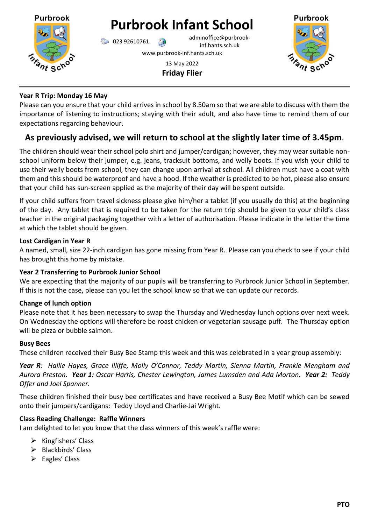

# **Purbrook**

# **Year R Trip: Monday 16 May**

Please can you ensure that your child arrives in school by 8.50am so that we are able to discuss with them the importance of listening to instructions; staying with their adult, and also have time to remind them of our expectations regarding behaviour.

# **As previously advised, we will return to school at the slightly later time of 3.45pm**.

The children should wear their school polo shirt and jumper/cardigan; however, they may wear suitable nonschool uniform below their jumper, e.g. jeans, tracksuit bottoms, and welly boots. If you wish your child to use their welly boots from school, they can change upon arrival at school. All children must have a coat with them and this should be waterproof and have a hood. If the weather is predicted to be hot, please also ensure that your child has sun-screen applied as the majority of their day will be spent outside.

If your child suffers from travel sickness please give him/her a tablet (if you usually do this) at the beginning of the day. Any tablet that is required to be taken for the return trip should be given to your child's class teacher in the original packaging together with a letter of authorisation. Please indicate in the letter the time at which the tablet should be given.

### **Lost Cardigan in Year R**

A named, small, size 22-inch cardigan has gone missing from Year R. Please can you check to see if your child has brought this home by mistake.

# **Year 2 Transferring to Purbrook Junior School**

We are expecting that the majority of our pupils will be transferring to Purbrook Junior School in September. If this is not the case, please can you let the school know so that we can update our records.

# **Change of lunch option**

Please note that it has been necessary to swap the Thursday and Wednesday lunch options over next week. On Wednesday the options will therefore be roast chicken or vegetarian sausage puff. The Thursday option will be pizza or bubble salmon.

#### **Busy Bees**

These children received their Busy Bee Stamp this week and this was celebrated in a year group assembly:

*Year R: Hallie Hayes, Grace Illiffe, Molly O'Connor, Teddy Martin, Sienna Martin, Frankie Mengham and Aurora Preston. Year 1: Oscar Harris, Chester Lewington, James Lumsden and Ada Morton. Year 2: Teddy Offer and Joel Spanner.*

These children finished their busy bee certificates and have received a Busy Bee Motif which can be sewed onto their jumpers/cardigans: Teddy Lloyd and Charlie-Jai Wright.

# **Class Reading Challenge: Raffle Winners**

I am delighted to let you know that the class winners of this week's raffle were:

- $\triangleright$  Kingfishers' Class
- ➢ Blackbirds' Class
- $\triangleright$  Eagles' Class